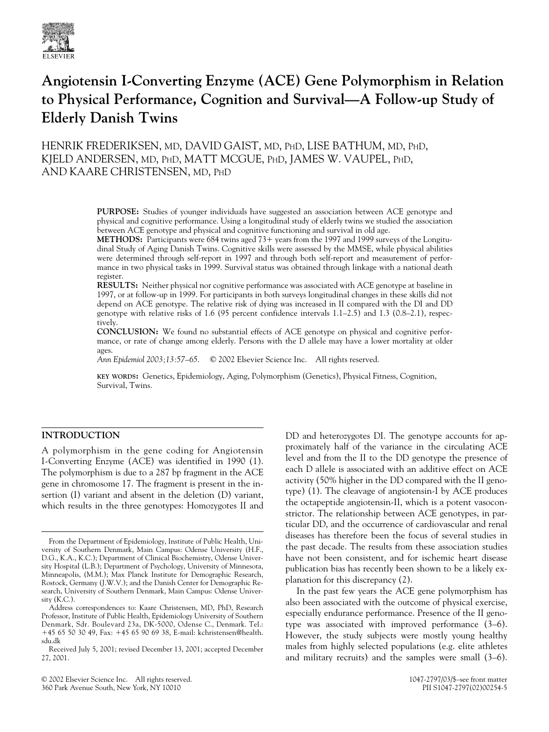

# **Angiotensin I-Converting Enzyme (ACE) Gene Polymorphism in Relation to Physical Performance, Cognition and Survival—A Follow-up Study of Elderly Danish Twins**

HENRIK FREDERIKSEN, MD, DAVID GAIST, MD, PHD, LISE BATHUM, MD, PHD, KJELD ANDERSEN, MD, PHD, MATT MCGUE, PHD, JAMES W. VAUPEL, PHD, AND KAARE CHRISTENSEN, MD, PHD

> **PURPOSE:** Studies of younger individuals have suggested an association between ACE genotype and physical and cognitive performance. Using a longitudinal study of elderly twins we studied the association between ACE genotype and physical and cognitive functioning and survival in old age.

> **METHODS:** Participants were 684 twins aged 73+ years from the 1997 and 1999 surveys of the Longitudinal Study of Aging Danish Twins. Cognitive skills were assessed by the MMSE, while physical abilities were determined through self-report in 1997 and through both self-report and measurement of performance in two physical tasks in 1999. Survival status was obtained through linkage with a national death register.

> **RESULTS:** Neither physical nor cognitive performance was associated with ACE genotype at baseline in 1997, or at follow-up in 1999. For participants in both surveys longitudinal changes in these skills did not depend on ACE genotype. The relative risk of dying was increased in II compared with the DI and DD genotype with relative risks of 1.6 (95 percent confidence intervals 1.1–2.5) and 1.3 (0.8–2.1), respectively.

> **CONCLUSION:** We found no substantial effects of ACE genotype on physical and cognitive performance, or rate of change among elderly. Persons with the D allele may have a lower mortality at older ages.

*Ann Epidemiol 2003;13:57–65*. © 2002 Elsevier Science Inc. All rights reserved.

**KEY WORDS:** Genetics, Epidemiology, Aging, Polymorphism (Genetics), Physical Fitness, Cognition, Survival, Twins.

## **INTRODUCTION**

A polymorphism in the gene coding for Angiotensin I-Converting Enzyme (ACE) was identified in 1990 (1). The polymorphism is due to a 287 bp fragment in the ACE gene in chromosome 17. The fragment is present in the insertion (I) variant and absent in the deletion (D) variant, which results in the three genotypes: Homozygotes II and DD and heterozygotes DI. The genotype accounts for approximately half of the variance in the circulating ACE level and from the II to the DD genotype the presence of each D allele is associated with an additive effect on ACE activity (50% higher in the DD compared with the II genotype) (1). The cleavage of angiotensin-I by ACE produces the octapeptide angiotensin-II, which is a potent vasoconstrictor. The relationship between ACE genotypes, in particular DD, and the occurrence of cardiovascular and renal diseases has therefore been the focus of several studies in the past decade. The results from these association studies have not been consistent, and for ischemic heart disease publication bias has recently been shown to be a likely explanation for this discrepancy (2).

In the past few years the ACE gene polymorphism has also been associated with the outcome of physical exercise, especially endurance performance. Presence of the II genotype was associated with improved performance (3–6). However, the study subjects were mostly young healthy males from highly selected populations (e.g. elite athletes and military recruits) and the samples were small (3–6).

From the Department of Epidemiology, Institute of Public Health, University of Southern Denmark, Main Campus: Odense University (H.F., D.G., K.A., K.C.); Department of Clinical Biochemistry, Odense University Hospital (L.B.); Department of Psychology, University of Minnesota, Minneapolis, (M.M.); Max Planck Institute for Demographic Research, Rostock, Germany (J.W.V.); and the Danish Center for Demographic Research, University of Southern Denmark, Main Campus: Odense Univer $sity$  (K.C.).

Address correspondences to: Kaare Christensen, MD, PhD, Research Professor, Institute of Public Health, Epidemiology University of Southern Denmark, Sdr. Boulevard 23a, DK-5000, Odense C., Denmark. Tel.: -45 65 50 30 49, Fax: -45 65 90 69 38, E-mail: kchristensen@health. sdu.dk

Received July 5, 2001; revised December 13, 2001; accepted December 27, 2001.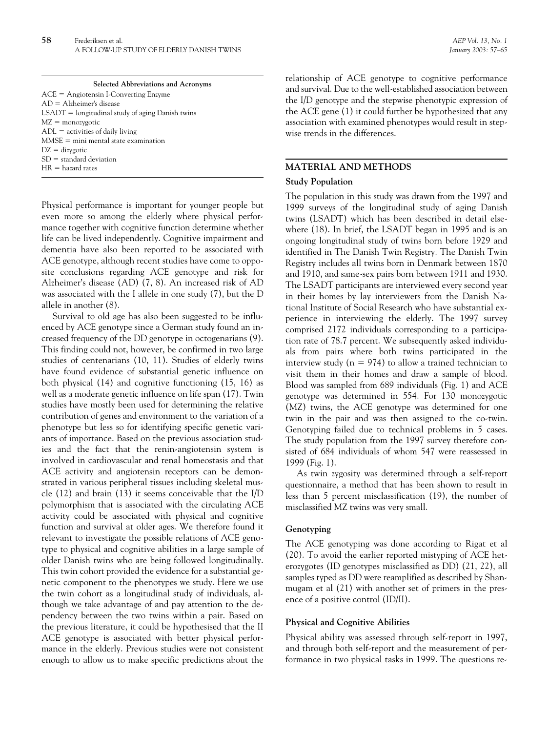#### **Selected Abbreviations and Acronyms**

ACE = Angiotensin I-Converting Enzyme  $AD = Alzheimer's$  disease  $LSADT = longitudinal study of aging Danish twins$  $MZ = monozygotic$  $ADL =$  activities of daily living  $MMSE = mini$  mental state examination  $DZ =$ dizygotic  $SD = standard deviation$  $HR = hazard$  rates

Physical performance is important for younger people but even more so among the elderly where physical performance together with cognitive function determine whether life can be lived independently. Cognitive impairment and dementia have also been reported to be associated with ACE genotype, although recent studies have come to opposite conclusions regarding ACE genotype and risk for Alzheimer's disease (AD) (7, 8). An increased risk of AD was associated with the I allele in one study (7), but the D allele in another (8).

Survival to old age has also been suggested to be influenced by ACE genotype since a German study found an increased frequency of the DD genotype in octogenarians (9). This finding could not, however, be confirmed in two large studies of centenarians (10, 11). Studies of elderly twins have found evidence of substantial genetic influence on both physical (14) and cognitive functioning (15, 16) as well as a moderate genetic influence on life span (17). Twin studies have mostly been used for determining the relative contribution of genes and environment to the variation of a phenotype but less so for identifying specific genetic variants of importance. Based on the previous association studies and the fact that the renin-angiotensin system is involved in cardiovascular and renal homeostasis and that ACE activity and angiotensin receptors can be demonstrated in various peripheral tissues including skeletal muscle (12) and brain (13) it seems conceivable that the I/D polymorphism that is associated with the circulating ACE activity could be associated with physical and cognitive function and survival at older ages. We therefore found it relevant to investigate the possible relations of ACE genotype to physical and cognitive abilities in a large sample of older Danish twins who are being followed longitudinally. This twin cohort provided the evidence for a substantial genetic component to the phenotypes we study. Here we use the twin cohort as a longitudinal study of individuals, although we take advantage of and pay attention to the dependency between the two twins within a pair. Based on the previous literature, it could be hypothesised that the II ACE genotype is associated with better physical performance in the elderly. Previous studies were not consistent enough to allow us to make specific predictions about the relationship of ACE genotype to cognitive performance and survival. Due to the well-established association between the I/D genotype and the stepwise phenotypic expression of the ACE gene (1) it could further be hypothesized that any association with examined phenotypes would result in stepwise trends in the differences.

## **MATERIAL AND METHODS**

## **Study Population**

The population in this study was drawn from the 1997 and 1999 surveys of the longitudinal study of aging Danish twins (LSADT) which has been described in detail elsewhere (18). In brief, the LSADT began in 1995 and is an ongoing longitudinal study of twins born before 1929 and identified in The Danish Twin Registry. The Danish Twin Registry includes all twins born in Denmark between 1870 and 1910, and same-sex pairs born between 1911 and 1930. The LSADT participants are interviewed every second year in their homes by lay interviewers from the Danish National Institute of Social Research who have substantial experience in interviewing the elderly. The 1997 survey comprised 2172 individuals corresponding to a participation rate of 78.7 percent. We subsequently asked individuals from pairs where both twins participated in the interview study ( $n = 974$ ) to allow a trained technician to visit them in their homes and draw a sample of blood. Blood was sampled from 689 individuals (Fig. 1) and ACE genotype was determined in 554. For 130 monozygotic (MZ) twins, the ACE genotype was determined for one twin in the pair and was then assigned to the co-twin. Genotyping failed due to technical problems in 5 cases. The study population from the 1997 survey therefore consisted of 684 individuals of whom 547 were reassessed in 1999 (Fig. 1).

As twin zygosity was determined through a self-report questionnaire, a method that has been shown to result in less than 5 percent misclassification (19), the number of misclassified MZ twins was very small.

### **Genotyping**

The ACE genotyping was done according to Rigat et al (20). To avoid the earlier reported mistyping of ACE heterozygotes (ID genotypes misclassified as DD) (21, 22), all samples typed as DD were reamplified as described by Shanmugam et al (21) with another set of primers in the presence of a positive control (ID/II).

#### **Physical and Cognitive Abilities**

Physical ability was assessed through self-report in 1997, and through both self-report and the measurement of performance in two physical tasks in 1999. The questions re-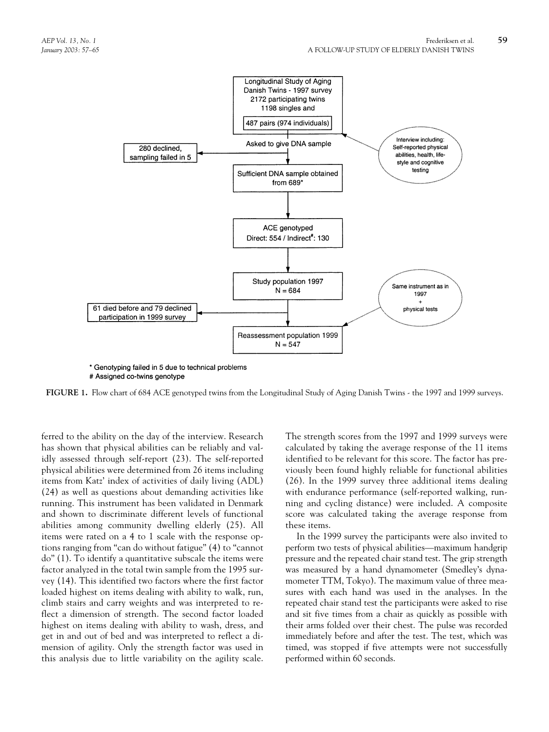

**FIGURE 1.** Flow chart of 684 ACE genotyped twins from the Longitudinal Study of Aging Danish Twins - the 1997 and 1999 surveys.

ferred to the ability on the day of the interview. Research has shown that physical abilities can be reliably and validly assessed through self-report (23). The self-reported physical abilities were determined from 26 items including items from Katz' index of activities of daily living (ADL) (24) as well as questions about demanding activities like running. This instrument has been validated in Denmark and shown to discriminate different levels of functional abilities among community dwelling elderly (25). All items were rated on a 4 to 1 scale with the response options ranging from "can do without fatigue" (4) to "cannot do" (1). To identify a quantitative subscale the items were factor analyzed in the total twin sample from the 1995 survey (14). This identified two factors where the first factor loaded highest on items dealing with ability to walk, run, climb stairs and carry weights and was interpreted to reflect a dimension of strength. The second factor loaded highest on items dealing with ability to wash, dress, and get in and out of bed and was interpreted to reflect a dimension of agility. Only the strength factor was used in this analysis due to little variability on the agility scale. The strength scores from the 1997 and 1999 surveys were calculated by taking the average response of the 11 items identified to be relevant for this score. The factor has previously been found highly reliable for functional abilities (26). In the 1999 survey three additional items dealing with endurance performance (self-reported walking, running and cycling distance) were included. A composite score was calculated taking the average response from these items.

In the 1999 survey the participants were also invited to perform two tests of physical abilities—maximum handgrip pressure and the repeated chair stand test. The grip strength was measured by a hand dynamometer (Smedley's dynamometer TTM, Tokyo). The maximum value of three measures with each hand was used in the analyses. In the repeated chair stand test the participants were asked to rise and sit five times from a chair as quickly as possible with their arms folded over their chest. The pulse was recorded immediately before and after the test. The test, which was timed, was stopped if five attempts were not successfully performed within 60 seconds.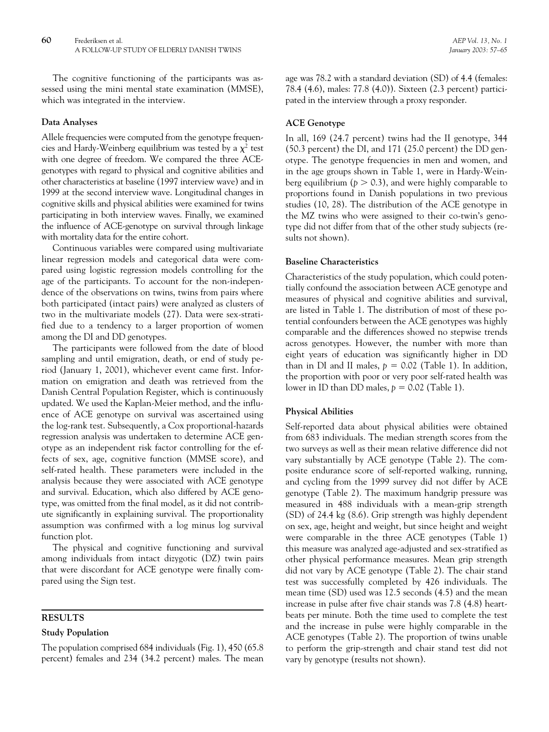The cognitive functioning of the participants was assessed using the mini mental state examination (MMSE), which was integrated in the interview.

## **Data Analyses**

Allele frequencies were computed from the genotype frequencies and Hardy-Weinberg equilibrium was tested by a  $\chi^2$  test with one degree of freedom. We compared the three ACEgenotypes with regard to physical and cognitive abilities and other characteristics at baseline (1997 interview wave) and in 1999 at the second interview wave. Longitudinal changes in cognitive skills and physical abilities were examined for twins participating in both interview waves. Finally, we examined the influence of ACE-genotype on survival through linkage with mortality data for the entire cohort.

Continuous variables were compared using multivariate linear regression models and categorical data were compared using logistic regression models controlling for the age of the participants. To account for the non-independence of the observations on twins, twins from pairs where both participated (intact pairs) were analyzed as clusters of two in the multivariate models (27). Data were sex-stratified due to a tendency to a larger proportion of women among the DI and DD genotypes.

The participants were followed from the date of blood sampling and until emigration, death, or end of study period (January 1, 2001), whichever event came first. Information on emigration and death was retrieved from the Danish Central Population Register, which is continuously updated. We used the Kaplan-Meier method, and the influence of ACE genotype on survival was ascertained using the log-rank test. Subsequently, a Cox proportional-hazards regression analysis was undertaken to determine ACE genotype as an independent risk factor controlling for the effects of sex, age, cognitive function (MMSE score), and self-rated health. These parameters were included in the analysis because they were associated with ACE genotype and survival. Education, which also differed by ACE genotype, was omitted from the final model, as it did not contribute significantly in explaining survival. The proportionality assumption was confirmed with a log minus log survival function plot.

The physical and cognitive functioning and survival among individuals from intact dizygotic (DZ) twin pairs that were discordant for ACE genotype were finally compared using the Sign test.

#### **RESULTS**

#### **Study Population**

The population comprised 684 individuals (Fig. 1), 450 (65.8 percent) females and 234 (34.2 percent) males. The mean age was 78.2 with a standard deviation (SD) of 4.4 (females: 78.4 (4.6), males: 77.8 (4.0)). Sixteen (2.3 percent) participated in the interview through a proxy responder.

#### **ACE Genotype**

In all, 169 (24.7 percent) twins had the II genotype, 344 (50.3 percent) the DI, and 171 (25.0 percent) the DD genotype. The genotype frequencies in men and women, and in the age groups shown in Table 1, were in Hardy-Weinberg equilibrium ( $p > 0.3$ ), and were highly comparable to proportions found in Danish populations in two previous studies (10, 28). The distribution of the ACE genotype in the MZ twins who were assigned to their co-twin's genotype did not differ from that of the other study subjects (results not shown).

#### **Baseline Characteristics**

Characteristics of the study population, which could potentially confound the association between ACE genotype and measures of physical and cognitive abilities and survival, are listed in Table 1. The distribution of most of these potential confounders between the ACE genotypes was highly comparable and the differences showed no stepwise trends across genotypes. However, the number with more than eight years of education was significantly higher in DD than in DI and II males,  $p = 0.02$  (Table 1). In addition, the proportion with poor or very poor self-rated health was lower in ID than DD males,  $p = 0.02$  (Table 1).

## **Physical Abilities**

Self-reported data about physical abilities were obtained from 683 individuals. The median strength scores from the two surveys as well as their mean relative difference did not vary substantially by ACE genotype (Table 2). The composite endurance score of self-reported walking, running, and cycling from the 1999 survey did not differ by ACE genotype (Table 2). The maximum handgrip pressure was measured in 488 individuals with a mean-grip strength (SD) of 24.4 kg (8.6). Grip strength was highly dependent on sex, age, height and weight, but since height and weight were comparable in the three ACE genotypes (Table 1) this measure was analyzed age-adjusted and sex-stratified as other physical performance measures. Mean grip strength did not vary by ACE genotype (Table 2). The chair stand test was successfully completed by 426 individuals. The mean time (SD) used was 12.5 seconds (4.5) and the mean increase in pulse after five chair stands was 7.8 (4.8) heartbeats per minute. Both the time used to complete the test and the increase in pulse were highly comparable in the ACE genotypes (Table 2). The proportion of twins unable to perform the grip-strength and chair stand test did not vary by genotype (results not shown).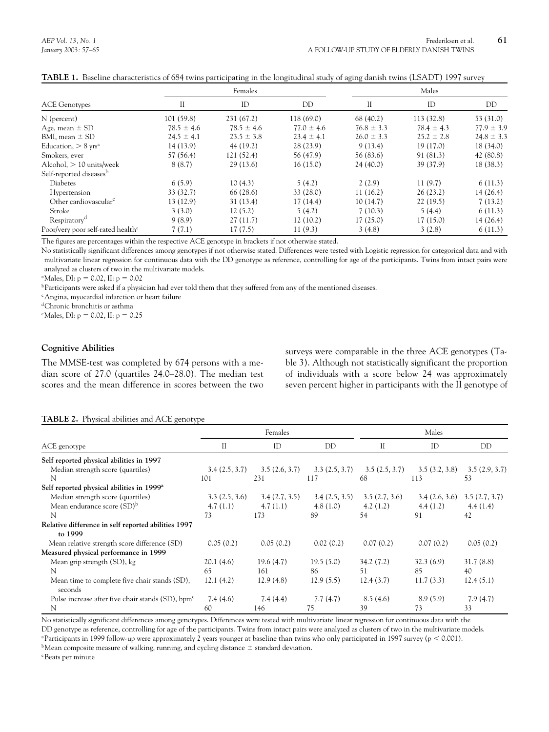| <b>ACE Genotypes</b>                          | Females        |                |                | Males          |                |                |
|-----------------------------------------------|----------------|----------------|----------------|----------------|----------------|----------------|
|                                               | $\rm{II}$      | ID             | DD             | $\rm{II}$      | ID             | DD             |
| N (percent)                                   | 101(59.8)      | 231(67.2)      | 118(69.0)      | 68 (40.2)      | 113 (32.8)     | 53 (31.0)      |
| Age, mean $\pm$ SD                            | $78.5 \pm 4.6$ | $78.5 \pm 4.6$ | $77.0 \pm 4.6$ | $76.8 \pm 3.3$ | $78.4 \pm 4.3$ | $77.9 \pm 3.9$ |
| BMI, mean $\pm$ SD                            | $24.5 \pm 4.1$ | $23.5 \pm 3.8$ | $23.4 \pm 4.1$ | $26.0 \pm 3.3$ | $25.2 \pm 2.8$ | $24.8 \pm 3.3$ |
| Education, $> 8$ yrs <sup>a</sup>             | 14 (13.9)      | 44 (19.2)      | 28(23.9)       | 9(13.4)        | 19 (17.0)      | 18 (34.0)      |
| Smokers, ever                                 | 57 (56.4)      | 121 (52.4)     | 56 (47.9)      | 56 (83.6)      | 91 (81.3)      | 42 (80.8)      |
| $Alcohol, > 10$ units/week                    | 8(8.7)         | 29(13.6)       | 16(15.0)       | 24 (40.0)      | 39 (37.9)      | 18(38.3)       |
| Self-reported diseases <sup>b</sup>           |                |                |                |                |                |                |
| <b>Diabetes</b>                               | 6(5.9)         | 10(4.3)        | 5(4.2)         | 2(2.9)         | 11(9.7)        | 6(11.3)        |
| Hypertension                                  | 33 (32.7)      | 66 (28.6)      | 33(28.0)       | 11(16.2)       | 26(23.2)       | 14 (26.4)      |
| Other cardiovascular <sup>c</sup>             | 13 (12.9)      | 31(13.4)       | 17(14.4)       | 10(14.7)       | 22(19.5)       | 7(13.2)        |
| Stroke                                        | 3(3.0)         | 12(5.2)        | 5(4.2)         | 7(10.3)        | 5(4.4)         | 6(11.3)        |
| Respiratory <sup>d</sup>                      | 9(8.9)         | 27(11.7)       | 12 (10.2)      | 17(25.0)       | 17(15.0)       | 14 (26.4)      |
| Poor/very poor self-rated health <sup>e</sup> | 7(7.1)         | 17(7.5)        | 11(9.3)        | 3(4.8)         | 3(2.8)         | 6(11.3)        |

|  |  |  |  |  |  | TABLE 1. Baseline characteristics of 684 twins participating in the longitudinal study of aging danish twins (LSADT) 1997 survey |
|--|--|--|--|--|--|----------------------------------------------------------------------------------------------------------------------------------|
|--|--|--|--|--|--|----------------------------------------------------------------------------------------------------------------------------------|

The figures are percentages within the respective ACE genotype in brackets if not otherwise stated.

No statistically significant differences among genotypes if not otherwise stated. Differences were tested with Logistic regression for categorical data and with multivariate linear regression for continuous data with the DD genotype as reference, controlling for age of the participants. Twins from intact pairs were analyzed as clusters of two in the multivariate models.

<sup>a</sup>Males, DI:  $p = 0.02$ , II:  $p = 0.02$ 

<sup>b</sup>Participants were asked if a physician had ever told them that they suffered from any of the mentioned diseases.

cAngina, myocardial infarction or heart failure

dChronic bronchitis or asthma

 $e$ Males, DI:  $p = 0.02$ , II:  $p = 0.25$ 

#### **Cognitive Abilities**

The MMSE-test was completed by 674 persons with a median score of 27.0 (quartiles 24.0–28.0). The median test scores and the mean difference in scores between the two surveys were comparable in the three ACE genotypes (Table 3). Although not statistically significant the proportion of individuals with a score below 24 was approximately seven percent higher in participants with the II genotype of

### **TABLE 2.** Physical abilities and ACE genotype

|                                                                |               | Females       |               | Males         |               |               |
|----------------------------------------------------------------|---------------|---------------|---------------|---------------|---------------|---------------|
| ACE genotype                                                   | П             | ID            | DD.           | $\mathcal{I}$ | ID            | DD            |
| Self reported physical abilities in 1997                       |               |               |               |               |               |               |
| Median strength score (quartiles)                              | 3.4(2.5, 3.7) | 3.5(2.6, 3.7) | 3.3(2.5, 3.7) | 3.5(2.5, 3.7) | 3.5(3.2, 3.8) | 3.5(2.9, 3.7) |
| N                                                              | 101           | 231           | 117           | 68            | 113           | 53            |
| Self reported physical abilities in 1999 <sup>a</sup>          |               |               |               |               |               |               |
| Median strength score (quartiles)                              | 3.3(2.5, 3.6) | 3.4(2.7, 3.5) | 3.4(2.5, 3.5) | 3.5(2.7, 3.6) | 3.4(2.6, 3.6) | 3.5(2.7, 3.7) |
| Mean endurance score (SD) <sup>b</sup>                         | 4.7(1.1)      | 4.7(1.1)      | 4.8(1.0)      | 4.2(1.2)      | 4.4(1.2)      | 4.4(1.4)      |
| N                                                              | 73            | 173           | 89            | 54            | 91            | 42            |
| Relative difference in self reported abilities 1997<br>to 1999 |               |               |               |               |               |               |
| Mean relative strength score difference (SD)                   | 0.05(0.2)     | 0.05(0.2)     | 0.02(0.2)     | 0.07(0.2)     | 0.07(0.2)     | 0.05(0.2)     |
| Measured physical performance in 1999                          |               |               |               |               |               |               |
| Mean grip strength (SD), kg                                    | 20.1(4.6)     | 19.6(4.7)     | 19.5(5.0)     | 34.2(7.2)     | 32.3(6.9)     | 31.7(8.8)     |
| N                                                              | 65            | 161           | 86            | 51            | 85            | 40            |
| Mean time to complete five chair stands (SD),<br>seconds       | 12.1(4.2)     | 12.9(4.8)     | 12.9(5.5)     | 12.4(3.7)     | 11.7(3.3)     | 12.4(5.1)     |
| Pulse increase after five chair stands (SD), bpm <sup>c</sup>  | 7.4(4.6)      | 7.4(4.4)      | 7.7(4.7)      | 8.5(4.6)      | 8.9(5.9)      | 7.9(4.7)      |
| N                                                              | 60            | 146           | 75            | 39            | 73            | 33            |

No statistically significant differences among genotypes. Differences were tested with multivariate linear regression for continuous data with the DD genotype as reference, controlling for age of the participants. Twins from intact pairs were analyzed as clusters of two in the multivariate models.

<sup>a</sup>Participants in 1999 follow-up were approximately 2 years younger at baseline than twins who only participated in 1997 survey ( $p < 0.001$ ).

 $b$ Mean composite measure of walking, running, and cycling distance  $\pm$  standard deviation.

<sup>c</sup>Beats per minute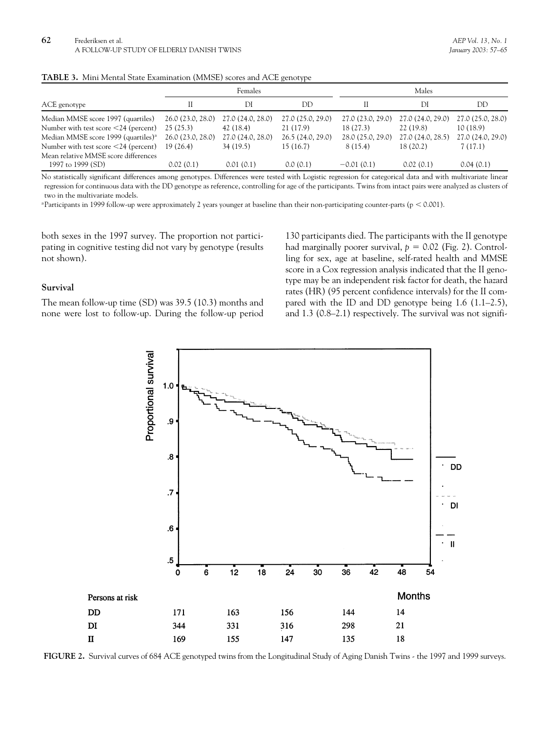|                                                 | Females           |                   |                   | Males             |                                     |                   |  |
|-------------------------------------------------|-------------------|-------------------|-------------------|-------------------|-------------------------------------|-------------------|--|
| ACE genotype                                    |                   | DІ                | DD                |                   | DI                                  | DD                |  |
| Median MMSE score 1997 (quartiles)              | 26.0 (23.0, 28.0) | 27.0 (24.0, 28.0) | 27.0 (25.0, 29.0) | 27.0 (23.0, 29.0) | 27.0 (24.0, 29.0) 27.0 (25.0, 28.0) |                   |  |
| Number with test score $\leq$ 24 (percent)      | 25(25.3)          | 42 (18.4)         | 21 (17.9)         | 18(27.3)          | 22 (19.8)                           | 10(18.9)          |  |
| Median MMSE score 1999 (quartiles) <sup>a</sup> | 26.0 (23.0, 28.0) | 27.0 (24.0, 28.0) | 26.5 (24.0, 29.0) | 28.0 (25.0, 29.0) | 27.0 (24.0, 28.5)                   | 27.0 (24.0, 29.0) |  |
| Number with test score $\leq$ 24 (percent)      | 19 (26.4)         | 34 (19.5)         | 15(16.7)          | 8 (15.4)          | 18(20.2)                            | 7(17.1)           |  |
| Mean relative MMSE score differences            |                   |                   |                   |                   |                                     |                   |  |
| 1997 to 1999 (SD)                               | 0.02(0.1)         | 0.01(0.1)         | 0.0(0.1)          | $-0.01(0.1)$      | 0.02(0.1)                           | 0.04(0.1)         |  |

**TABLE 3.** Mini Mental State Examination (MMSE) scores and ACE genotype

No statistically significant differences among genotypes. Differences were tested with Logistic regression for categorical data and with multivariate linear regression for continuous data with the DD genotype as reference, controlling for age of the participants. Twins from intact pairs were analyzed as clusters of two in the multivariate models.

<sup>a</sup>Participants in 1999 follow-up were approximately 2 years younger at baseline than their non-participating counter-parts ( $p < 0.001$ ).

both sexes in the 1997 survey. The proportion not participating in cognitive testing did not vary by genotype (results not shown).

#### **Survival**

**DD** 

DI

 $\mathbf{I}$ 

The mean follow-up time (SD) was 39.5 (10.3) months and none were lost to follow-up. During the follow-up period

130 participants died. The participants with the II genotype had marginally poorer survival,  $p = 0.02$  (Fig. 2). Controlling for sex, age at baseline, self-rated health and MMSE score in a Cox regression analysis indicated that the II genotype may be an independent risk factor for death, the hazard rates (HR) (95 percent confidence intervals) for the II compared with the ID and DD genotype being 1.6 (1.1–2.5), and 1.3 (0.8–2.1) respectively. The survival was not signifi-



**FIGURE 2.** Survival curves of 684 ACE genotyped twins from the Longitudinal Study of Aging Danish Twins - the 1997 and 1999 surveys.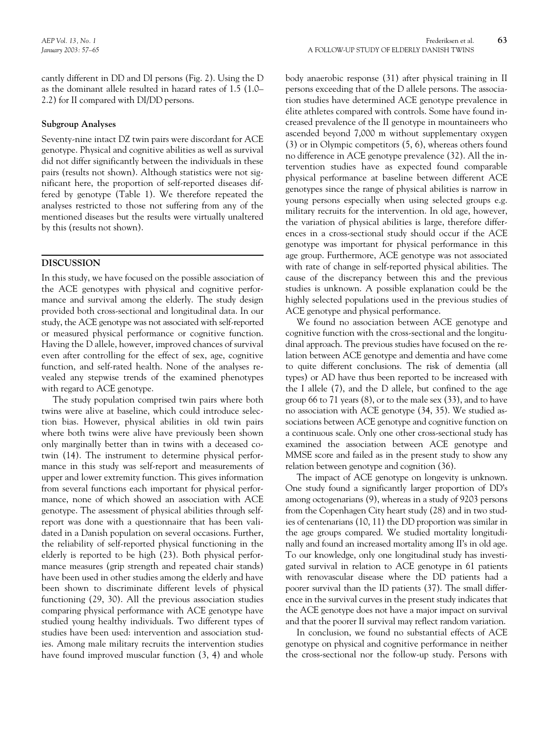cantly different in DD and DI persons (Fig. 2). Using the D as the dominant allele resulted in hazard rates of 1.5 (1.0– 2.2) for II compared with DI/DD persons.

#### **Subgroup Analyses**

Seventy-nine intact DZ twin pairs were discordant for ACE genotype. Physical and cognitive abilities as well as survival did not differ significantly between the individuals in these pairs (results not shown). Although statistics were not significant here, the proportion of self-reported diseases differed by genotype (Table 1). We therefore repeated the analyses restricted to those not suffering from any of the mentioned diseases but the results were virtually unaltered by this (results not shown).

#### **DISCUSSION**

In this study, we have focused on the possible association of the ACE genotypes with physical and cognitive performance and survival among the elderly. The study design provided both cross-sectional and longitudinal data. In our study, the ACE genotype was not associated with self-reported or measured physical performance or cognitive function. Having the D allele, however, improved chances of survival even after controlling for the effect of sex, age, cognitive function, and self-rated health. None of the analyses revealed any stepwise trends of the examined phenotypes with regard to ACE genotype.

The study population comprised twin pairs where both twins were alive at baseline, which could introduce selection bias. However, physical abilities in old twin pairs where both twins were alive have previously been shown only marginally better than in twins with a deceased cotwin (14). The instrument to determine physical performance in this study was self-report and measurements of upper and lower extremity function. This gives information from several functions each important for physical performance, none of which showed an association with ACE genotype. The assessment of physical abilities through selfreport was done with a questionnaire that has been validated in a Danish population on several occasions. Further, the reliability of self-reported physical functioning in the elderly is reported to be high (23). Both physical performance measures (grip strength and repeated chair stands) have been used in other studies among the elderly and have been shown to discriminate different levels of physical functioning (29, 30). All the previous association studies comparing physical performance with ACE genotype have studied young healthy individuals. Two different types of studies have been used: intervention and association studies. Among male military recruits the intervention studies have found improved muscular function (3, 4) and whole body anaerobic response (31) after physical training in II persons exceeding that of the D allele persons. The association studies have determined ACE genotype prevalence in élite athletes compared with controls. Some have found increased prevalence of the II genotype in mountaineers who ascended beyond 7,000 m without supplementary oxygen (3) or in Olympic competitors (5, 6), whereas others found no difference in ACE genotype prevalence (32). All the intervention studies have as expected found comparable physical performance at baseline between different ACE genotypes since the range of physical abilities is narrow in young persons especially when using selected groups e.g. military recruits for the intervention. In old age, however, the variation of physical abilities is large, therefore differences in a cross-sectional study should occur if the ACE genotype was important for physical performance in this age group. Furthermore, ACE genotype was not associated with rate of change in self-reported physical abilities. The cause of the discrepancy between this and the previous studies is unknown. A possible explanation could be the highly selected populations used in the previous studies of ACE genotype and physical performance.

We found no association between ACE genotype and cognitive function with the cross-sectional and the longitudinal approach. The previous studies have focused on the relation between ACE genotype and dementia and have come to quite different conclusions. The risk of dementia (all types) or AD have thus been reported to be increased with the I allele (7), and the D allele, but confined to the age group 66 to 71 years (8), or to the male sex (33), and to have no association with ACE genotype (34, 35). We studied associations between ACE genotype and cognitive function on a continuous scale. Only one other cross-sectional study has examined the association between ACE genotype and MMSE score and failed as in the present study to show any relation between genotype and cognition (36).

The impact of ACE genotype on longevity is unknown. One study found a significantly larger proportion of DD's among octogenarians (9), whereas in a study of 9203 persons from the Copenhagen City heart study (28) and in two studies of centenarians (10, 11) the DD proportion was similar in the age groups compared. We studied mortality longitudinally and found an increased mortality among II's in old age. To our knowledge, only one longitudinal study has investigated survival in relation to ACE genotype in 61 patients with renovascular disease where the DD patients had a poorer survival than the ID patients (37). The small difference in the survival curves in the present study indicates that the ACE genotype does not have a major impact on survival and that the poorer II survival may reflect random variation.

In conclusion, we found no substantial effects of ACE genotype on physical and cognitive performance in neither the cross-sectional nor the follow-up study. Persons with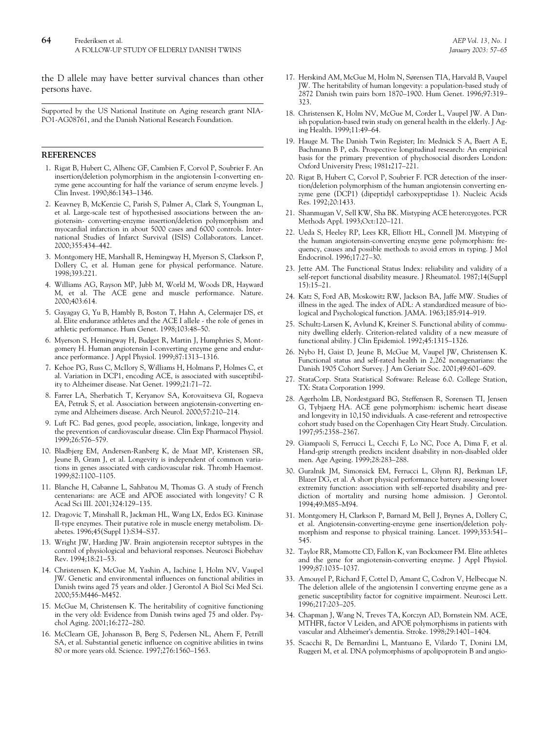the D allele may have better survival chances than other persons have.

Supported by the US National Institute on Aging research grant NIA-PO1-AG08761, and the Danish National Research Foundation.

#### **REFERENCES**

- 1. Rigat B, Hubert C, Alhenc GF, Cambien F, Corvol P, Soubrier F. An insertion/deletion polymorphism in the angiotensin I-converting enzyme gene accounting for half the variance of serum enzyme levels. J Clin Invest. 1990;86:1343–1346.
- 2. Keavney B, McKenzie C, Parish S, Palmer A, Clark S, Youngman L, et al. Large-scale test of hypothesised associations between the angiotensin- converting-enzyme insertion/deletion polymorphism and myocardial infarction in about 5000 cases and 6000 controls. International Studies of Infarct Survival (ISIS) Collaborators. Lancet. 2000;355:434–442.
- 3. Montgomery HE, Marshall R, Hemingway H, Myerson S, Clarkson P, Dollery C, et al. Human gene for physical performance. Nature. 1998;393:221.
- 4. Williams AG, Rayson MP, Jubb M, World M, Woods DR, Hayward M, et al. The ACE gene and muscle performance. Nature. 2000;403:614.
- 5. Gayagay G, Yu B, Hambly B, Boston T, Hahn A, Celermajer DS, et al. Elite endurance athletes and the ACE I allele - the role of genes in athletic performance. Hum Genet. 1998;103:48–50.
- 6. Myerson S, Hemingway H, Budget R, Martin J, Humphries S, Montgomery H. Human angiotensin I-converting enzyme gene and endurance performance. J Appl Physiol. 1999;87:1313–1316.
- 7. Kehoe PG, Russ C, McIlory S, Williams H, Holmans P, Holmes C, et al. Variation in DCP1, encoding ACE, is associated with susceptibility to Alzheimer disease. Nat Genet. 1999;21:71–72.
- 8. Farrer LA, Sherbatich T, Keryanov SA, Korovaitseva GI, Rogaeva EA, Petruk S, et al. Association between angiotensin-converting enzyme and Alzheimers disease. Arch Neurol. 2000;57:210–214.
- 9. Luft FC. Bad genes, good people, association, linkage, longevity and the prevention of cardiovascular disease. Clin Exp Pharmacol Physiol. 1999;26:576–579.
- 10. Bladbjerg EM, Andersen-Ranberg K, de Maat MP, Kristensen SR, Jeune B, Gram J, et al. Longevity is independent of common variations in genes associated with cardiovascular risk. Thromb Haemost. 1999;82:1100–1105.
- 11. Blanche H, Cabanne L, Sahbatou M, Thomas G. A study of French centenarians: are ACE and APOE associated with longevity? C R Acad Sci III. 2001;324:129–135.
- 12. Dragovic T, Minshall R, Jackman HL, Wang LX, Erdos EG. Kininase II-type enzymes. Their putative role in muscle energy metabolism. Diabetes. 1996;45(Suppl 1):S34–S37.
- 13. Wright JW, Harding JW. Brain angiotensin receptor subtypes in the control of physiological and behavioral responses. Neurosci Biobehav Rev. 1994;18:21–53.
- 14. Christensen K, McGue M, Yashin A, Iachine I, Holm NV, Vaupel JW. Genetic and environmental influences on functional abilities in Danish twins aged 75 years and older. J Gerontol A Biol Sci Med Sci. 2000;55:M446–M452.
- 15. McGue M, Christensen K. The heritability of cognitive functioning in the very old: Evidence from Danish twins aged 75 and older. Psychol Aging. 2001;16:272–280.
- 16. McClearn GE, Johansson B, Berg S, Pedersen NL, Ahern F, Petrill SA, et al. Substantial genetic influence on cognitive abilities in twins 80 or more years old. Science. 1997;276:1560–1563.
- 17. Herskind AM, McGue M, Holm N, Sørensen TIA, Harvald B, Vaupel JW. The heritability of human longevity: a population-based study of 2872 Danish twin pairs born 1870–1900. Hum Genet. 1996;97:319– 323.
- 18. Christensen K, Holm NV, McGue M, Corder L, Vaupel JW. A Danish population-based twin study on general health in the elderly. J Aging Health. 1999;11:49–64.
- 19. Hauge M. The Danish Twin Register; In: Mednick S A, Baert A E, Bachmann B P, eds. Prospective longitudinal research: An empirical basis for the primary prevention of phychosocial disorders London: Oxford University Press; 1981**:**217–221.
- 20. Rigat B, Hubert C, Corvol P, Soubrier F. PCR detection of the insertion/deletion polymorphism of the human angiotensin converting enzyme gene (DCP1) (dipeptidyl carboxypeptidase 1). Nucleic Acids Res. 1992;20:1433.
- 21. Shanmugan V, Sell KW, Sha BK. Mistyping ACE heterozygotes. PCR Methods Appl. 1993;Oct:120–121.
- 22. Ueda S, Heeley RP, Lees KR, Elliott HL, Connell JM. Mistyping of the human angiotensin-converting enzyme gene polymorphism: frequency, causes and possible methods to avoid errors in typing. J Mol Endocrinol. 1996;17:27–30.
- 23. Jette AM. The Functional Status Index: reliability and validity of a self-report functional disability measure. J Rheumatol. 1987;14(Suppl 15):15–21.
- 24. Katz S, Ford AB, Moskowitz RW, Jackson BA, Jaffe MW. Studies of illness in the aged. The index of ADL: A standardized measure of biological and Psychological function. JAMA. 1963;185:914–919.
- 25. Schultz-Larsen K, Avlund K, Kreiner S. Functional ability of community dwelling elderly. Criterion-related validity of a new measure of functional ability. J Clin Epidemiol. 1992;45:1315–1326.
- 26. Nybo H, Gaist D, Jeune B, McGue M, Vaupel JW, Christensen K. Functional status and self-rated health in 2,262 nonagenarians: the Danish 1905 Cohort Survey. J Am Geriatr Soc. 2001;49:601–609.
- 27. StataCorp. Stata Statistical Software: Release 6.0. College Station, TX: Stata Corporation 1999.
- 28. Agerholm LB, Nordestgaard BG, Steffensen R, Sorensen TI, Jensen G, Tybjaerg HA. ACE gene polymorphism: ischemic heart disease and longevity in 10,150 individuals. A case-referent and retrospective cohort study based on the Copenhagen City Heart Study. Circulation. 1997;95:2358–2367.
- 29. Giampaoli S, Ferrucci L, Cecchi F, Lo NC, Poce A, Dima F, et al. Hand-grip strength predicts incident disability in non-disabled older men. Age Ageing. 1999;28:283–288.
- 30. Guralnik JM, Simonsick EM, Ferrucci L, Glynn RJ, Berkman LF, Blazer DG, et al. A short physical performance battery assessing lower extremity function: association with self-reported disability and prediction of mortality and nursing home admission. J Gerontol. 1994;49:M85–M94.
- 31. Montgomery H, Clarkson P, Barnard M, Bell J, Brynes A, Dollery C, et al. Angiotensin-converting-enzyme gene insertion/deletion polymorphism and response to physical training. Lancet. 1999;353:541– 545.
- 32. Taylor RR, Mamotte CD, Fallon K, van Bockxmeer FM. Elite athletes and the gene for angiotensin-converting enzyme. J Appl Physiol. 1999;87:1035–1037.
- 33. Amouyel P, Richard F, Cottel D, Amant C, Codron V, Helbecque N. The deletion allele of the angiotensin I converting enzyme gene as a genetic susceptibility factor for cognitive impairment. Neurosci Lett. 1996;217:203–205.
- 34. Chapman J, Wang N, Treves TA, Korczyn AD, Bornstein NM. ACE, MTHFR, factor V Leiden, and APOE polymorphisms in patients with vascular and Alzheimer's dementia. Stroke. 1998;29:1401–1404.
- 35. Scacchi R, De Bernardini L, Mantuano E, Vilardo T, Donini LM, Ruggeri M, et al. DNA polymorphisms of apolipoprotein B and angio-